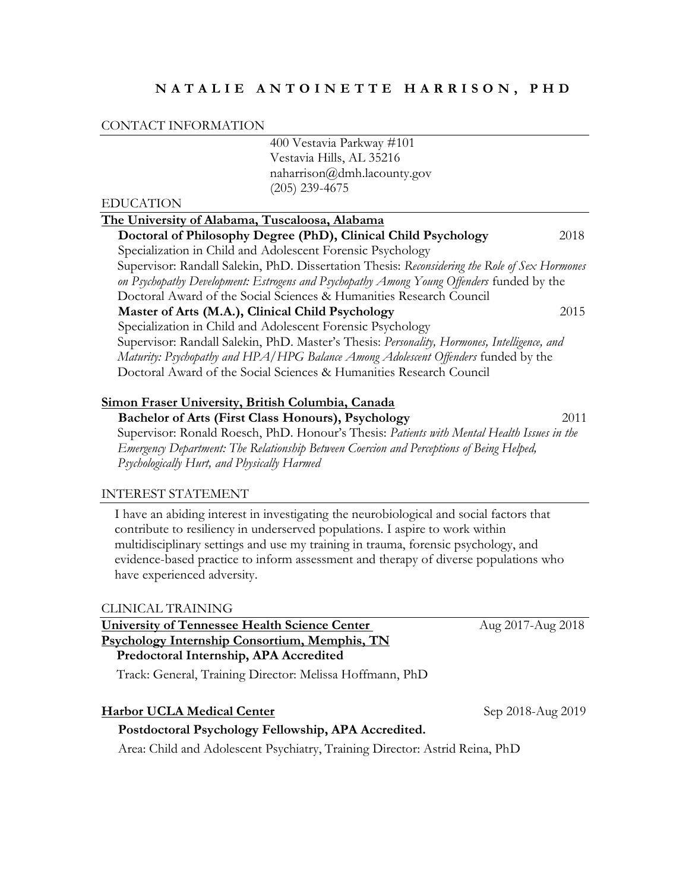## **N A T A L I E A N T O I N E T T E H A R R I S O N , P H D**

#### CONTACT INFORMATION

|                  | 400 Vestavia Parkway #101                                                                     |      |
|------------------|-----------------------------------------------------------------------------------------------|------|
|                  | Vestavia Hills, AL 35216                                                                      |      |
|                  | naharrison@dmh.lacounty.gov                                                                   |      |
|                  | $(205)$ 239-4675                                                                              |      |
| <b>EDUCATION</b> |                                                                                               |      |
|                  | The University of Alabama, Tuscaloosa, Alabama                                                |      |
|                  | Doctoral of Philosophy Degree (PhD), Clinical Child Psychology                                | 2018 |
|                  | Specialization in Child and Adolescent Forensic Psychology                                    |      |
|                  | Supervisor: Randall Salekin, PhD. Dissertation Thesis: Reconsidering the Role of Sex Hormones |      |
|                  | on Psychopathy Development: Estrogens and Psychopathy Among Young Offenders funded by the     |      |
|                  | Doctoral Award of the Social Sciences & Humanities Research Council                           |      |
|                  | Master of Arts (M.A.), Clinical Child Psychology                                              | 2015 |
|                  | Specialization in Child and Adolescent Forensic Psychology                                    |      |
|                  | Supervisor: Randall Salekin, PhD. Master's Thesis: Personality, Hormones, Intelligence, and   |      |
|                  | Maturity: Psychopathy and HPA/HPG Balance Among Adolescent Offenders funded by the            |      |
|                  | Doctoral Award of the Social Sciences & Humanities Research Council                           |      |
|                  | Simon Fraser University, British Columbia, Canada                                             |      |
|                  | Rechalge of Arts (First Class Honours) Developed                                              | 2011 |

 **Bachelor of Arts (First Class Honours), Psychology** 2011 Supervisor: Ronald Roesch, PhD. Honour's Thesis: *Patients with Mental Health Issues in the Emergency Department: The Relationship Between Coercion and Perceptions of Being Helped, Psychologically Hurt, and Physically Harmed*

#### INTEREST STATEMENT

I have an abiding interest in investigating the neurobiological and social factors that contribute to resiliency in underserved populations. I aspire to work within multidisciplinary settings and use my training in trauma, forensic psychology, and evidence-based practice to inform assessment and therapy of diverse populations who have experienced adversity.

#### CLINICAL TRAINING

| <b>University of Tennessee Health Science Center</b> |
|------------------------------------------------------|
| <u>Psychology Internship Consortium, Memphis, TN</u> |
| Predoctoral Internship, APA Accredited               |

Track: General, Training Director: Melissa Hoffmann, PhD

# **Harbor UCLA Medical Center** Sep 2018-Aug 2019

#### **Postdoctoral Psychology Fellowship, APA Accredited.**

Area: Child and Adolescent Psychiatry, Training Director: Astrid Reina, PhD

**University of Tennessee Health Science Center** Aug 2017-Aug 2018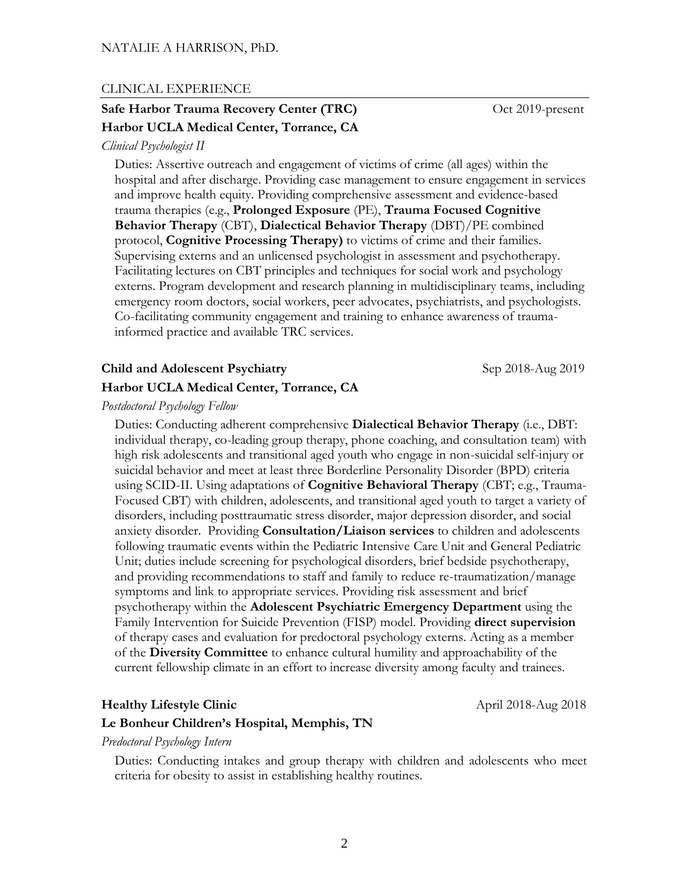#### CLINICAL EXPERIENCE

# **Safe Harbor Trauma Recovery Center (TRC)** Oct 2019-present **Harbor UCLA Medical Center, Torrance, CA**

#### *Clinical Psychologist II*

 Duties: Assertive outreach and engagement of victims of crime (all ages) within the hospital and after discharge. Providing case management to ensure engagement in services and improve health equity. Providing comprehensive assessment and evidence-based trauma therapies (e.g., **Prolonged Exposure** (PE), **Trauma Focused Cognitive Behavior Therapy** (CBT), **Dialectical Behavior Therapy** (DBT)/PE combined protocol, **Cognitive Processing Therapy)** to victims of crime and their families. Supervising externs and an unlicensed psychologist in assessment and psychotherapy. Facilitating lectures on CBT principles and techniques for social work and psychology externs. Program development and research planning in multidisciplinary teams, including emergency room doctors, social workers, peer advocates, psychiatrists, and psychologists. Co-facilitating community engagement and training to enhance awareness of traumainformed practice and available TRC services.

## **Child and Adolescent Psychiatry**  Sep 2018-Aug 2019

#### **Harbor UCLA Medical Center, Torrance, CA**

*Postdoctoral Psychology Fellow*

 Duties: Conducting adherent comprehensive **Dialectical Behavior Therapy** (i.e., DBT: individual therapy, co-leading group therapy, phone coaching, and consultation team) with high risk adolescents and transitional aged youth who engage in non-suicidal self-injury or suicidal behavior and meet at least three Borderline Personality Disorder (BPD) criteria using SCID-II. Using adaptations of **Cognitive Behavioral Therapy** (CBT; e.g., Trauma-Focused CBT) with children, adolescents, and transitional aged youth to target a variety of disorders, including posttraumatic stress disorder, major depression disorder, and social anxiety disorder. Providing **Consultation/Liaison services** to children and adolescents following traumatic events within the Pediatric Intensive Care Unit and General Pediatric Unit; duties include screening for psychological disorders, brief bedside psychotherapy, and providing recommendations to staff and family to reduce re-traumatization/manage symptoms and link to appropriate services. Providing risk assessment and brief psychotherapy within the **Adolescent Psychiatric Emergency Department** using the Family Intervention for Suicide Prevention (FISP) model. Providing **direct supervision** of therapy cases and evaluation for predoctoral psychology externs. Acting as a member of the **Diversity Committee** to enhance cultural humility and approachability of the current fellowship climate in an effort to increase diversity among faculty and trainees.

#### **Healthy Lifestyle Clinic** April 2018-Aug 2018

#### **Le Bonheur Children's Hospital, Memphis, TN**

#### *Predoctoral Psychology Intern*

Duties: Conducting intakes and group therapy with children and adolescents who meet criteria for obesity to assist in establishing healthy routines.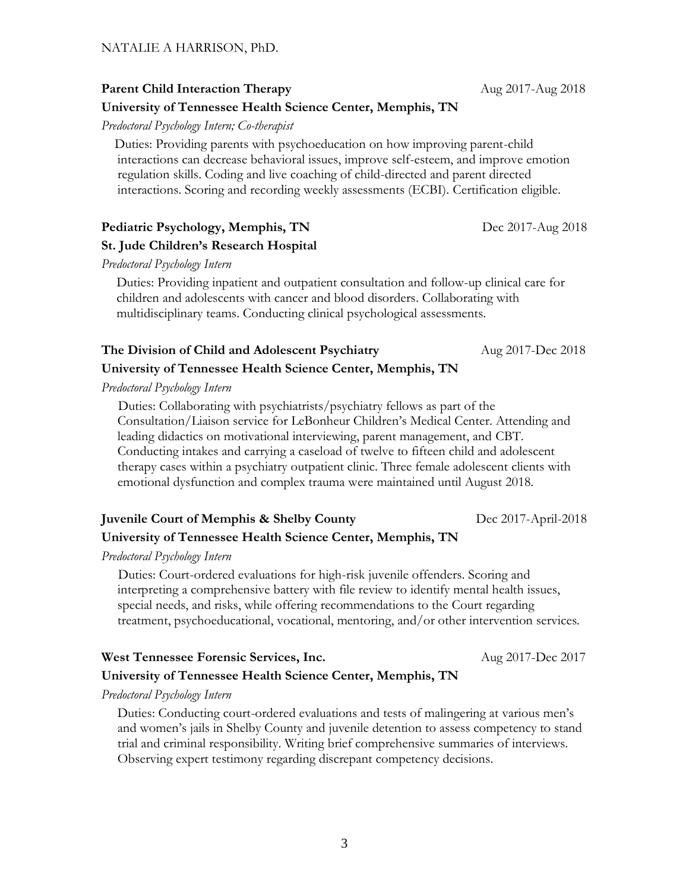**Parent Child Interaction Therapy** Aug 2017-Aug 2018

# **University of Tennessee Health Science Center, Memphis, TN**

*Predoctoral Psychology Intern; Co-therapist*

Duties: Providing parents with psychoeducation on how improving parent-child interactions can decrease behavioral issues, improve self-esteem, and improve emotion regulation skills. Coding and live coaching of child-directed and parent directed interactions. Scoring and recording weekly assessments (ECBI). Certification eligible.

## **Pediatric Psychology, Memphis, TN** Dec 2017-Aug 2018

# **St. Jude Children's Research Hospital**

*Predoctoral Psychology Intern*

Duties: Providing inpatient and outpatient consultation and follow-up clinical care for children and adolescents with cancer and blood disorders. Collaborating with multidisciplinary teams. Conducting clinical psychological assessments.

# **The Division of Child and Adolescent Psychiatry** Aug 2017-Dec 2018 **University of Tennessee Health Science Center, Memphis, TN**

*Predoctoral Psychology Intern*

 Duties: Collaborating with psychiatrists/psychiatry fellows as part of the Consultation/Liaison service for LeBonheur Children's Medical Center. Attending and leading didactics on motivational interviewing, parent management, and CBT. Conducting intakes and carrying a caseload of twelve to fifteen child and adolescent therapy cases within a psychiatry outpatient clinic. Three female adolescent clients with emotional dysfunction and complex trauma were maintained until August 2018.

# **Juvenile Court of Memphis & Shelby County** Dec 2017-April-2018 **University of Tennessee Health Science Center, Memphis, TN**

*Predoctoral Psychology Intern*

 Duties: Court-ordered evaluations for high-risk juvenile offenders. Scoring and interpreting a comprehensive battery with file review to identify mental health issues, special needs, and risks, while offering recommendations to the Court regarding treatment, psychoeducational, vocational, mentoring, and/or other intervention services.

# **West Tennessee Forensic Services, Inc.** Aug 2017-Dec 2017

# **University of Tennessee Health Science Center, Memphis, TN**

*Predoctoral Psychology Intern*

Duties: Conducting court-ordered evaluations and tests of malingering at various men's and women's jails in Shelby County and juvenile detention to assess competency to stand trial and criminal responsibility. Writing brief comprehensive summaries of interviews. Observing expert testimony regarding discrepant competency decisions.

3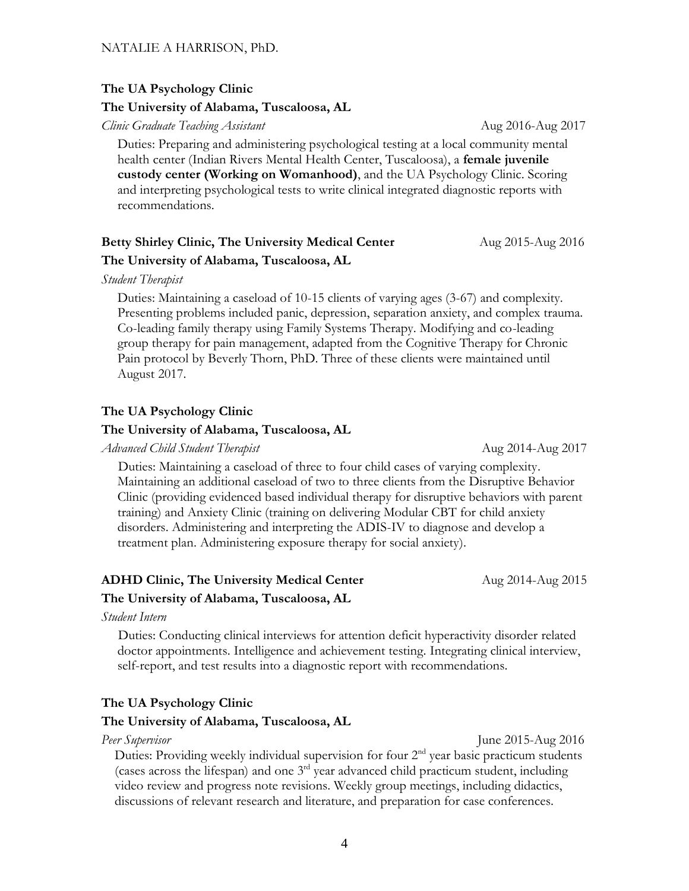#### **The UA Psychology Clinic**

#### **The University of Alabama, Tuscaloosa, AL**

*Clinic Graduate Teaching Assistant* Aug 2016-Aug 2017

Duties: Preparing and administering psychological testing at a local community mental health center (Indian Rivers Mental Health Center, Tuscaloosa), a **female juvenile custody center (Working on Womanhood)**, and the UA Psychology Clinic. Scoring and interpreting psychological tests to write clinical integrated diagnostic reports with recommendations.

# Betty Shirley Clinic, The University Medical Center **Aug 2015-Aug 2016 The University of Alabama, Tuscaloosa, AL**

*Student Therapist*

Duties: Maintaining a caseload of 10-15 clients of varying ages (3-67) and complexity. Presenting problems included panic, depression, separation anxiety, and complex trauma. Co-leading family therapy using Family Systems Therapy. Modifying and co-leading group therapy for pain management, adapted from the Cognitive Therapy for Chronic Pain protocol by Beverly Thorn, PhD. Three of these clients were maintained until August 2017.

#### **The UA Psychology Clinic**

## **The University of Alabama, Tuscaloosa, AL**

*Advanced Child Student Therapist* Aug 2014-Aug 2017

 Duties: Maintaining a caseload of three to four child cases of varying complexity. Maintaining an additional caseload of two to three clients from the Disruptive Behavior Clinic (providing evidenced based individual therapy for disruptive behaviors with parent training) and Anxiety Clinic (training on delivering Modular CBT for child anxiety disorders. Administering and interpreting the ADIS-IV to diagnose and develop a treatment plan. Administering exposure therapy for social anxiety).

# **ADHD Clinic, The University Medical Center Aug 2014-Aug 2015 The University of Alabama, Tuscaloosa, AL**

*Student Intern*

 Duties: Conducting clinical interviews for attention deficit hyperactivity disorder related doctor appointments. Intelligence and achievement testing. Integrating clinical interview, self-report, and test results into a diagnostic report with recommendations.

## **The UA Psychology Clinic**

#### **The University of Alabama, Tuscaloosa, AL**

*Peer Supervisor* June 2015-Aug 2016

Duties: Providing weekly individual supervision for four  $2<sup>nd</sup>$  year basic practicum students (cases across the lifespan) and one 3rd year advanced child practicum student, including video review and progress note revisions. Weekly group meetings, including didactics, discussions of relevant research and literature, and preparation for case conferences.

4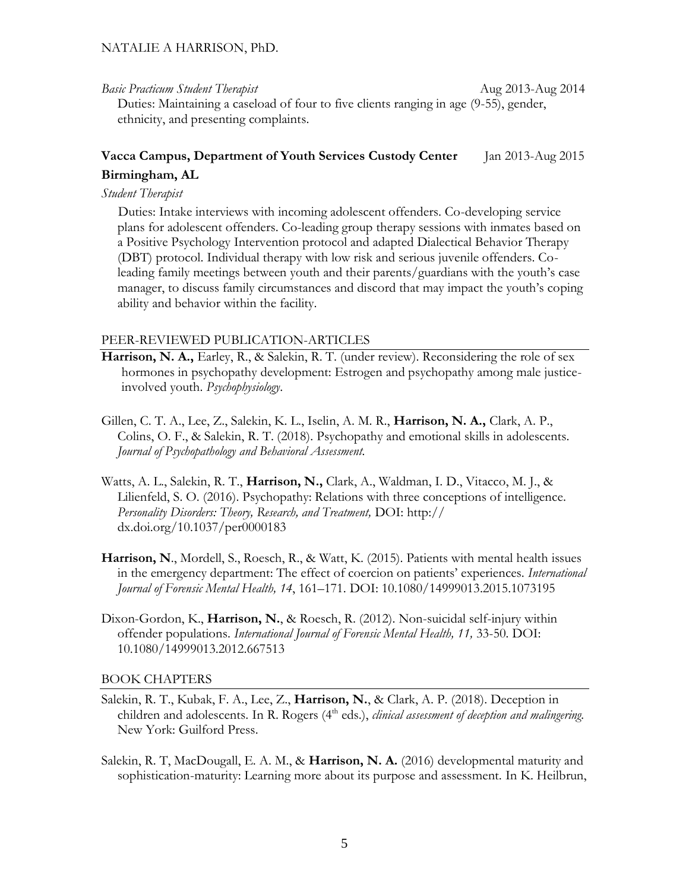*Basic Practicum Student Therapist* Aug 2013-Aug 2014 Duties: Maintaining a caseload of four to five clients ranging in age (9-55), gender, ethnicity, and presenting complaints.

# **Vacca Campus, Department of Youth Services Custody Center** Jan 2013-Aug 2015 **Birmingham, AL**

## *Student Therapist*

 Duties: Intake interviews with incoming adolescent offenders. Co-developing service plans for adolescent offenders. Co-leading group therapy sessions with inmates based on a Positive Psychology Intervention protocol and adapted Dialectical Behavior Therapy (DBT) protocol. Individual therapy with low risk and serious juvenile offenders. Coleading family meetings between youth and their parents/guardians with the youth's case manager, to discuss family circumstances and discord that may impact the youth's coping ability and behavior within the facility.

#### PEER-REVIEWED PUBLICATION-ARTICLES

- **Harrison, N. A.,** Earley, R., & Salekin, R. T. (under review). Reconsidering the role of sex hormones in psychopathy development: Estrogen and psychopathy among male justiceinvolved youth. *Psychophysiology*.
- Gillen, C. T. A., Lee, Z., Salekin, K. L., Iselin, A. M. R., **Harrison, N. A.,** Clark, A. P., Colins, O. F., & Salekin, R. T. (2018). Psychopathy and emotional skills in adolescents. *Journal of Psychopathology and Behavioral Assessment.*
- Watts, A. L., Salekin, R. T., **Harrison, N.,** Clark, A., Waldman, I. D., Vitacco, M. J., & Lilienfeld, S. O. (2016). Psychopathy: Relations with three conceptions of intelligence. *Personality Disorders: Theory, Research, and Treatment,* DOI: http:// dx.doi.org/10.1037/per0000183
- **Harrison, N**., Mordell, S., Roesch, R., & Watt, K. (2015). Patients with mental health issues in the emergency department: The effect of coercion on patients' experiences. *International Journal of Forensic Mental Health, 14*, 161–171. DOI: 10.1080/14999013.2015.1073195
- Dixon-Gordon, K., **Harrison, N.**, & Roesch, R. (2012). Non-suicidal self-injury within offender populations. *International Journal of Forensic Mental Health, 11,* 33-50*.* DOI: 10.1080/14999013.2012.667513

#### BOOK CHAPTERS

- Salekin, R. T., Kubak, F. A., Lee, Z., **Harrison, N.**, & Clark, A. P. (2018). Deception in children and adolescents. In R. Rogers (4<sup>th</sup> eds.), *clinical assessment of deception and malingering*. New York: Guilford Press.
- Salekin, R. T, MacDougall, E. A. M., & **Harrison, N. A.** (2016) developmental maturity and sophistication-maturity: Learning more about its purpose and assessment. In K. Heilbrun,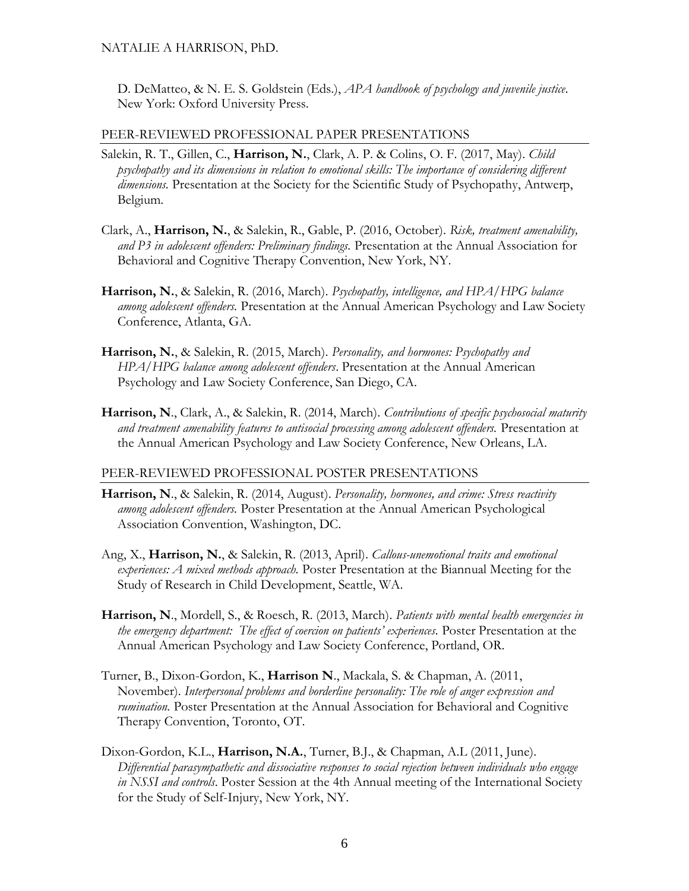D. DeMatteo, & N. E. S. Goldstein (Eds.), *APA handbook of psychology and juvenile justice.* New York: Oxford University Press.

#### PEER-REVIEWED PROFESSIONAL PAPER PRESENTATIONS

- Salekin, R. T., Gillen, C., **Harrison, N.**, Clark, A. P. & Colins, O. F. (2017, May). *Child psychopathy and its dimensions in relation to emotional skills: The importance of considering different dimensions.* Presentation at the Society for the Scientific Study of Psychopathy, Antwerp, Belgium.
- Clark, A., **Harrison, N.**, & Salekin, R., Gable, P. (2016, October). *Risk, treatment amenability, and P3 in adolescent offenders: Preliminary findings.* Presentation at the Annual Association for Behavioral and Cognitive Therapy Convention, New York, NY.
- **Harrison, N.**, & Salekin, R. (2016, March). *Psychopathy, intelligence, and HPA/HPG balance among adolescent offenders.* Presentation at the Annual American Psychology and Law Society Conference, Atlanta, GA.
- **Harrison, N.**, & Salekin, R. (2015, March). *Personality, and hormones: Psychopathy and HPA/HPG balance among adolescent offenders*. Presentation at the Annual American Psychology and Law Society Conference, San Diego, CA.
- **Harrison, N**., Clark, A., & Salekin, R. (2014, March). *Contributions of specific psychosocial maturity and treatment amenability features to antisocial processing among adolescent offenders.* Presentation at the Annual American Psychology and Law Society Conference, New Orleans, LA.

#### PEER-REVIEWED PROFESSIONAL POSTER PRESENTATIONS

- **Harrison, N**., & Salekin, R. (2014, August). *Personality, hormones, and crime: Stress reactivity among adolescent offenders.* Poster Presentation at the Annual American Psychological Association Convention, Washington, DC.
- Ang, X., **Harrison, N.**, & Salekin, R. (2013, April). *Callous-unemotional traits and emotional experiences: A mixed methods approach.* Poster Presentation at the Biannual Meeting for the Study of Research in Child Development, Seattle, WA.
- **Harrison, N**., Mordell, S., & Roesch, R. (2013, March). *Patients with mental health emergencies in the emergency department: The effect of coercion on patients' experiences.* Poster Presentation at the Annual American Psychology and Law Society Conference, Portland, OR.
- Turner, B., Dixon-Gordon, K., **Harrison N**., Mackala, S. & Chapman, A. (2011, November). *Interpersonal problems and borderline personality: The role of anger expression and rumination.* Poster Presentation at the Annual Association for Behavioral and Cognitive Therapy Convention, Toronto, OT.
- Dixon-Gordon, K.L., **Harrison, N.A.**, Turner, B.J., & Chapman, A.L (2011, June). *Differential parasympathetic and dissociative responses to social rejection between individuals who engage in NSSI and controls*. Poster Session at the 4th Annual meeting of the International Society for the Study of Self-Injury, New York, NY.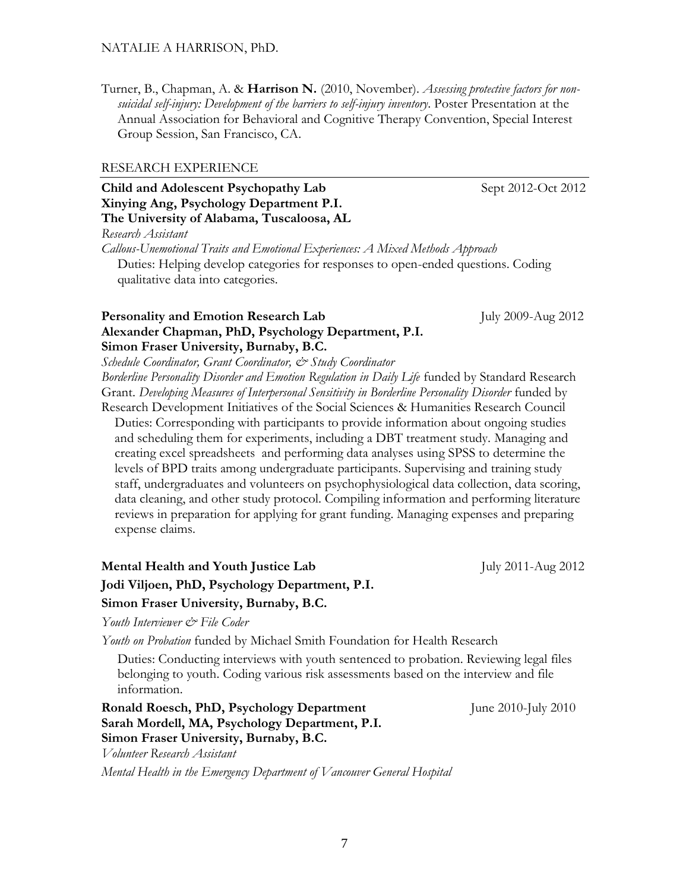Turner, B., Chapman, A. & **Harrison N.** (2010, November). *Assessing protective factors for nonsuicidal self-injury: Development of the barriers to self-injury inventory*. Poster Presentation at the Annual Association for Behavioral and Cognitive Therapy Convention, Special Interest Group Session, San Francisco, CA.

#### RESEARCH EXPERIENCE

## **Child and Adolescent Psychopathy Lab** Sept 2012-Oct 2012 **Xinying Ang, Psychology Department P.I. The University of Alabama, Tuscaloosa, AL** *Research Assistant Callous-Unemotional Traits and Emotional Experiences: A Mixed Methods Approach* Duties: Helping develop categories for responses to open-ended questions. Coding

qualitative data into categories.

#### **Personality and Emotion Research Lab** July 2009-Aug 2012 **Alexander Chapman, PhD, Psychology Department, P.I. Simon Fraser University, Burnaby, B.C.**

*Schedule Coordinator, Grant Coordinator, & Study Coordinator Borderline Personality Disorder and Emotion Regulation in Daily Life* funded by Standard Research Grant. *Developing Measures of Interpersonal Sensitivity in Borderline Personality Disorder funded by* Research Development Initiatives of the Social Sciences & Humanities Research Council

Duties: Corresponding with participants to provide information about ongoing studies and scheduling them for experiments, including a DBT treatment study. Managing and creating excel spreadsheets and performing data analyses using SPSS to determine the levels of BPD traits among undergraduate participants. Supervising and training study staff, undergraduates and volunteers on psychophysiological data collection, data scoring, data cleaning, and other study protocol. Compiling information and performing literature reviews in preparation for applying for grant funding. Managing expenses and preparing expense claims.

# **Mental Health and Youth Justice Lab** July 2011-Aug 2012 **Jodi Viljoen, PhD, Psychology Department, P.I. Simon Fraser University, Burnaby, B.C.**

*Youth Interviewer & File Coder*

*Youth on Probation* funded by Michael Smith Foundation for Health Research

Duties: Conducting interviews with youth sentenced to probation. Reviewing legal files belonging to youth. Coding various risk assessments based on the interview and file information.

**Ronald Roesch, PhD, Psychology Department** June 2010-July 2010 **Sarah Mordell, MA, Psychology Department, P.I. Simon Fraser University, Burnaby, B.C.** *Volunteer Research Assistant*

*Mental Health in the Emergency Department of Vancouver General Hospital*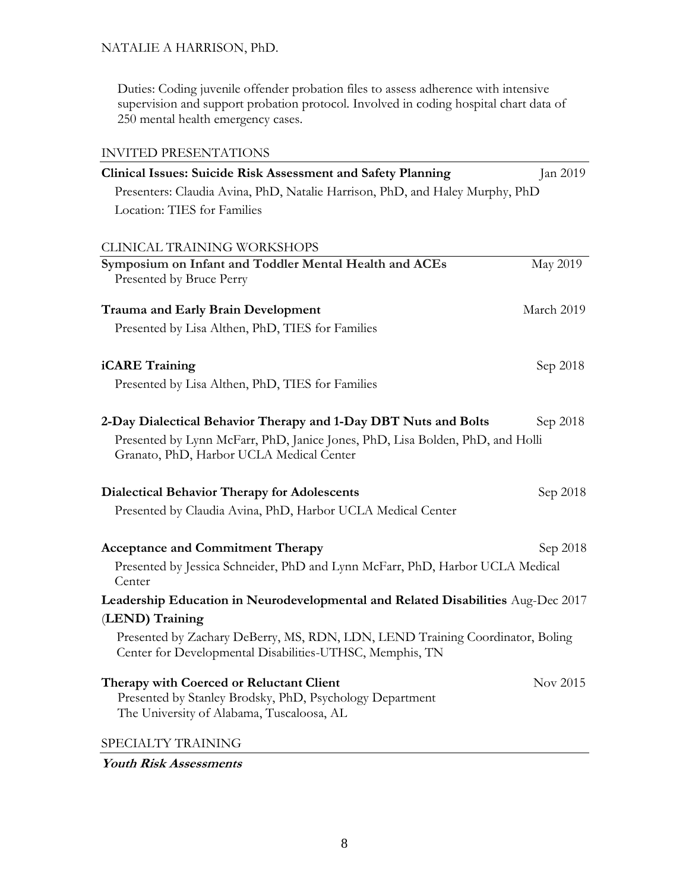Duties: Coding juvenile offender probation files to assess adherence with intensive supervision and support probation protocol. Involved in coding hospital chart data of 250 mental health emergency cases.

| <b>INVITED PRESENTATIONS</b>                                                            |                 |
|-----------------------------------------------------------------------------------------|-----------------|
| Clinical Issues: Suicide Risk Assessment and Safety Planning                            | Jan 2019        |
| Presenters: Claudia Avina, PhD, Natalie Harrison, PhD, and Haley Murphy, PhD            |                 |
| Location: TIES for Families                                                             |                 |
|                                                                                         |                 |
| CLINICAL TRAINING WORKSHOPS                                                             |                 |
| Symposium on Infant and Toddler Mental Health and ACEs<br>Presented by Bruce Perry      | <b>May 2019</b> |
| <b>Trauma and Early Brain Development</b>                                               | March 2019      |
| Presented by Lisa Althen, PhD, TIES for Families                                        |                 |
|                                                                                         |                 |
| iCARE Training                                                                          | Sep 2018        |
| Presented by Lisa Althen, PhD, TIES for Families                                        |                 |
|                                                                                         |                 |
| 2-Day Dialectical Behavior Therapy and 1-Day DBT Nuts and Bolts                         | Sep 2018        |
| Presented by Lynn McFarr, PhD, Janice Jones, PhD, Lisa Bolden, PhD, and Holli           |                 |
| Granato, PhD, Harbor UCLA Medical Center                                                |                 |
| <b>Dialectical Behavior Therapy for Adolescents</b>                                     | Sep 2018        |
| Presented by Claudia Avina, PhD, Harbor UCLA Medical Center                             |                 |
|                                                                                         |                 |
| <b>Acceptance and Commitment Therapy</b>                                                | Sep 2018        |
| Presented by Jessica Schneider, PhD and Lynn McFarr, PhD, Harbor UCLA Medical<br>Center |                 |
| Leadership Education in Neurodevelopmental and Related Disabilities Aug-Dec 2017        |                 |
| (LEND) Training                                                                         |                 |
| Presented by Zachary DeBerry, MS, RDN, LDN, LEND Training Coordinator, Boling           |                 |
| Center for Developmental Disabilities-UTHSC, Memphis, TN                                |                 |
| Therapy with Coerced or Reluctant Client                                                | Nov 2015        |
| Presented by Stanley Brodsky, PhD, Psychology Department                                |                 |
| The University of Alabama, Tuscaloosa, AL                                               |                 |
| SPECIALTY TRAINING                                                                      |                 |

**Youth Risk Assessments**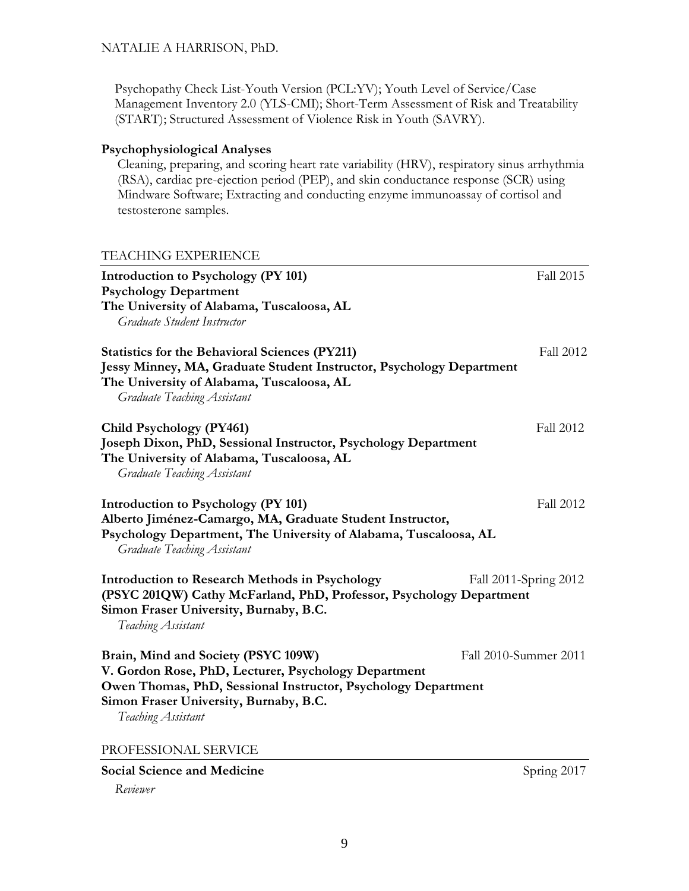Psychopathy Check List-Youth Version (PCL:YV); Youth Level of Service/Case Management Inventory 2.0 (YLS-CMI); Short-Term Assessment of Risk and Treatability (START); Structured Assessment of Violence Risk in Youth (SAVRY).

## **Psychophysiological Analyses**

Cleaning, preparing, and scoring heart rate variability (HRV), respiratory sinus arrhythmia (RSA), cardiac pre-ejection period (PEP), and skin conductance response (SCR) using Mindware Software; Extracting and conducting enzyme immunoassay of cortisol and testosterone samples.

#### TEACHING EXPERIENCE

| Introduction to Psychology (PY 101)<br><b>Psychology Department</b>                                                                                                                                                          | Fall 2015             |
|------------------------------------------------------------------------------------------------------------------------------------------------------------------------------------------------------------------------------|-----------------------|
| The University of Alabama, Tuscaloosa, AL<br>Graduate Student Instructor                                                                                                                                                     |                       |
| <b>Statistics for the Behavioral Sciences (PY211)</b><br>Jessy Minney, MA, Graduate Student Instructor, Psychology Department<br>The University of Alabama, Tuscaloosa, AL<br><b>Graduate Teaching Assistant</b>             | <b>Fall 2012</b>      |
| Child Psychology (PY461)<br>Joseph Dixon, PhD, Sessional Instructor, Psychology Department<br>The University of Alabama, Tuscaloosa, AL<br><b>Graduate Teaching Assistant</b>                                                | Fall 2012             |
| Introduction to Psychology (PY 101)<br>Alberto Jiménez-Camargo, MA, Graduate Student Instructor,<br>Psychology Department, The University of Alabama, Tuscaloosa, AL<br><b>Graduate Teaching Assistant</b>                   | Fall 2012             |
| <b>Introduction to Research Methods in Psychology</b><br>(PSYC 201QW) Cathy McFarland, PhD, Professor, Psychology Department<br>Simon Fraser University, Burnaby, B.C.<br>Teaching Assistant                                 | Fall 2011-Spring 2012 |
| Brain, Mind and Society (PSYC 109W)<br>V. Gordon Rose, PhD, Lecturer, Psychology Department<br>Owen Thomas, PhD, Sessional Instructor, Psychology Department<br>Simon Fraser University, Burnaby, B.C.<br>Teaching Assistant | Fall 2010-Summer 2011 |
| PROFESSIONAL SERVICE                                                                                                                                                                                                         |                       |
| <b>Social Science and Medicine</b>                                                                                                                                                                                           | Spring 2017           |

*Reviewer*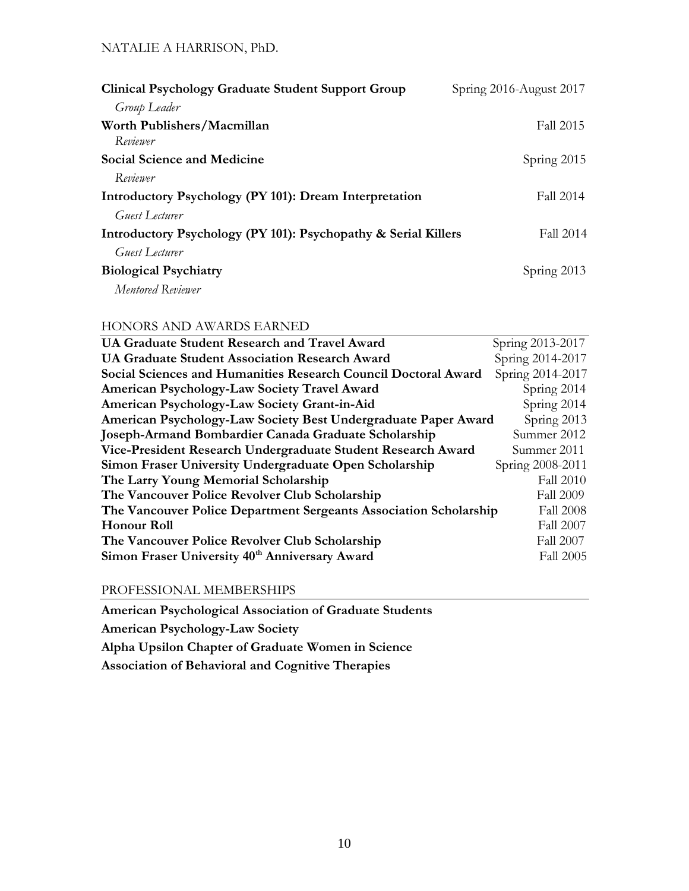| Spring 2016-August 2017                                                     |
|-----------------------------------------------------------------------------|
|                                                                             |
| Fall 2015                                                                   |
| Spring 2015                                                                 |
|                                                                             |
| Fall 2014                                                                   |
|                                                                             |
| Introductory Psychology (PY 101): Psychopathy & Serial Killers<br>Fall 2014 |
|                                                                             |
| Spring 2013                                                                 |
|                                                                             |
|                                                                             |

## HONORS AND AWARDS EARNED

| UA Graduate Student Research and Travel Award                     | Spring 2013-2017 |
|-------------------------------------------------------------------|------------------|
| <b>UA Graduate Student Association Research Award</b>             | Spring 2014-2017 |
| Social Sciences and Humanities Research Council Doctoral Award    | Spring 2014-2017 |
| American Psychology-Law Society Travel Award                      | Spring 2014      |
| American Psychology-Law Society Grant-in-Aid                      | Spring 2014      |
| American Psychology-Law Society Best Undergraduate Paper Award    | Spring 2013      |
| Joseph-Armand Bombardier Canada Graduate Scholarship              | Summer 2012      |
| Vice-President Research Undergraduate Student Research Award      | Summer 2011      |
| Simon Fraser University Undergraduate Open Scholarship            | Spring 2008-2011 |
| The Larry Young Memorial Scholarship                              | Fall 2010        |
| The Vancouver Police Revolver Club Scholarship                    | <b>Fall 2009</b> |
| The Vancouver Police Department Sergeants Association Scholarship | <b>Fall 2008</b> |
| <b>Honour Roll</b>                                                | <b>Fall 2007</b> |
| The Vancouver Police Revolver Club Scholarship                    | <b>Fall 2007</b> |
| Simon Fraser University 40th Anniversary Award                    | <b>Fall 2005</b> |

PROFESSIONAL MEMBERSHIPS

**American Psychological Association of Graduate Students**

**American Psychology-Law Society**

**Alpha Upsilon Chapter of Graduate Women in Science**

**Association of Behavioral and Cognitive Therapies**